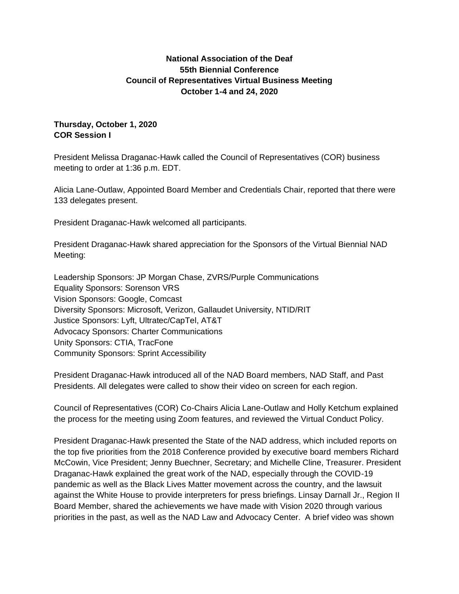# **National Association of the Deaf 55th Biennial Conference Council of Representatives Virtual Business Meeting October 1-4 and 24, 2020**

# **Thursday, October 1, 2020 COR Session I**

President Melissa Draganac-Hawk called the Council of Representatives (COR) business meeting to order at 1:36 p.m. EDT.

Alicia Lane-Outlaw, Appointed Board Member and Credentials Chair, reported that there were 133 delegates present.

President Draganac-Hawk welcomed all participants.

President Draganac-Hawk shared appreciation for the Sponsors of the Virtual Biennial NAD Meeting:

Leadership Sponsors: JP Morgan Chase, ZVRS/Purple Communications Equality Sponsors: Sorenson VRS Vision Sponsors: Google, Comcast Diversity Sponsors: Microsoft, Verizon, Gallaudet University, NTID/RIT Justice Sponsors: Lyft, Ultratec/CapTel, AT&T Advocacy Sponsors: Charter Communications Unity Sponsors: CTIA, TracFone Community Sponsors: Sprint Accessibility

President Draganac-Hawk introduced all of the NAD Board members, NAD Staff, and Past Presidents. All delegates were called to show their video on screen for each region.

Council of Representatives (COR) Co-Chairs Alicia Lane-Outlaw and Holly Ketchum explained the process for the meeting using Zoom features, and reviewed the Virtual Conduct Policy.

President Draganac-Hawk presented the State of the NAD address, which included reports on the top five priorities from the 2018 Conference provided by executive board members Richard McCowin, Vice President; Jenny Buechner, Secretary; and Michelle Cline, Treasurer. President Draganac-Hawk explained the great work of the NAD, especially through the COVID-19 pandemic as well as the Black Lives Matter movement across the country, and the lawsuit against the White House to provide interpreters for press briefings. Linsay Darnall Jr., Region II Board Member, shared the achievements we have made with Vision 2020 through various priorities in the past, as well as the NAD Law and Advocacy Center. A brief video was shown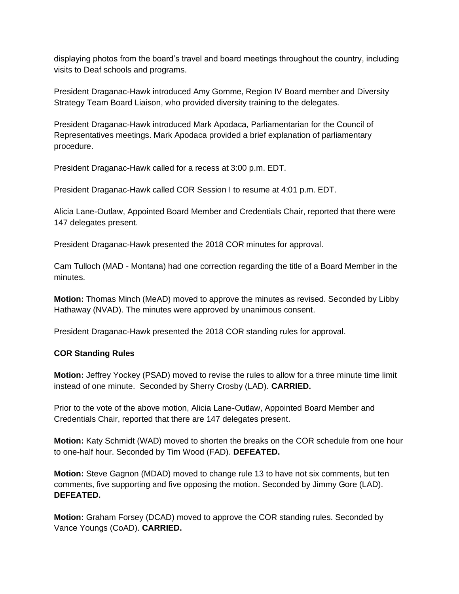displaying photos from the board's travel and board meetings throughout the country, including visits to Deaf schools and programs.

President Draganac-Hawk introduced Amy Gomme, Region IV Board member and Diversity Strategy Team Board Liaison, who provided diversity training to the delegates.

President Draganac-Hawk introduced Mark Apodaca, Parliamentarian for the Council of Representatives meetings. Mark Apodaca provided a brief explanation of parliamentary procedure.

President Draganac-Hawk called for a recess at 3:00 p.m. EDT.

President Draganac-Hawk called COR Session I to resume at 4:01 p.m. EDT.

Alicia Lane-Outlaw, Appointed Board Member and Credentials Chair, reported that there were 147 delegates present.

President Draganac-Hawk presented the 2018 COR minutes for approval.

Cam Tulloch (MAD - Montana) had one correction regarding the title of a Board Member in the minutes.

**Motion:** Thomas Minch (MeAD) moved to approve the minutes as revised. Seconded by Libby Hathaway (NVAD). The minutes were approved by unanimous consent.

President Draganac-Hawk presented the 2018 COR standing rules for approval.

#### **COR Standing Rules**

**Motion:** Jeffrey Yockey (PSAD) moved to revise the rules to allow for a three minute time limit instead of one minute. Seconded by Sherry Crosby (LAD). **CARRIED.** 

Prior to the vote of the above motion, Alicia Lane-Outlaw, Appointed Board Member and Credentials Chair, reported that there are 147 delegates present.

**Motion:** Katy Schmidt (WAD) moved to shorten the breaks on the COR schedule from one hour to one-half hour. Seconded by Tim Wood (FAD). **DEFEATED.**

**Motion:** Steve Gagnon (MDAD) moved to change rule 13 to have not six comments, but ten comments, five supporting and five opposing the motion. Seconded by Jimmy Gore (LAD). **DEFEATED.**

**Motion:** Graham Forsey (DCAD) moved to approve the COR standing rules. Seconded by Vance Youngs (CoAD). **CARRIED.**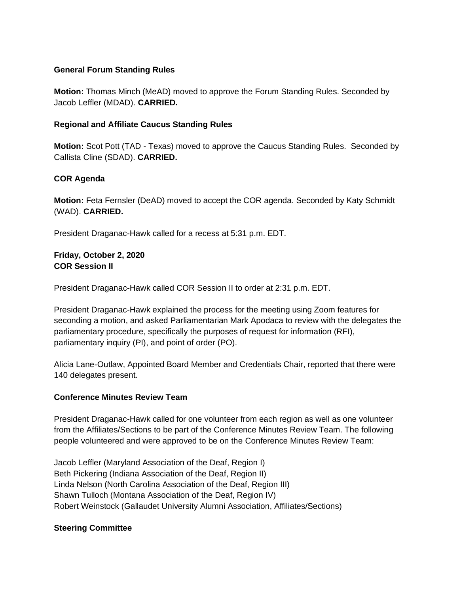# **General Forum Standing Rules**

**Motion:** Thomas Minch (MeAD) moved to approve the Forum Standing Rules. Seconded by Jacob Leffler (MDAD). **CARRIED.**

### **Regional and Affiliate Caucus Standing Rules**

**Motion:** Scot Pott (TAD - Texas) moved to approve the Caucus Standing Rules. Seconded by Callista Cline (SDAD). **CARRIED.** 

# **COR Agenda**

**Motion:** Feta Fernsler (DeAD) moved to accept the COR agenda. Seconded by Katy Schmidt (WAD). **CARRIED.** 

President Draganac-Hawk called for a recess at 5:31 p.m. EDT.

# **Friday, October 2, 2020 COR Session II**

President Draganac-Hawk called COR Session II to order at 2:31 p.m. EDT.

President Draganac-Hawk explained the process for the meeting using Zoom features for seconding a motion, and asked Parliamentarian Mark Apodaca to review with the delegates the parliamentary procedure, specifically the purposes of request for information (RFI), parliamentary inquiry (PI), and point of order (PO).

Alicia Lane-Outlaw, Appointed Board Member and Credentials Chair, reported that there were 140 delegates present.

#### **Conference Minutes Review Team**

President Draganac-Hawk called for one volunteer from each region as well as one volunteer from the Affiliates/Sections to be part of the Conference Minutes Review Team. The following people volunteered and were approved to be on the Conference Minutes Review Team:

Jacob Leffler (Maryland Association of the Deaf, Region I) Beth Pickering (Indiana Association of the Deaf, Region II) Linda Nelson (North Carolina Association of the Deaf, Region III) Shawn Tulloch (Montana Association of the Deaf, Region IV) Robert Weinstock (Gallaudet University Alumni Association, Affiliates/Sections)

# **Steering Committee**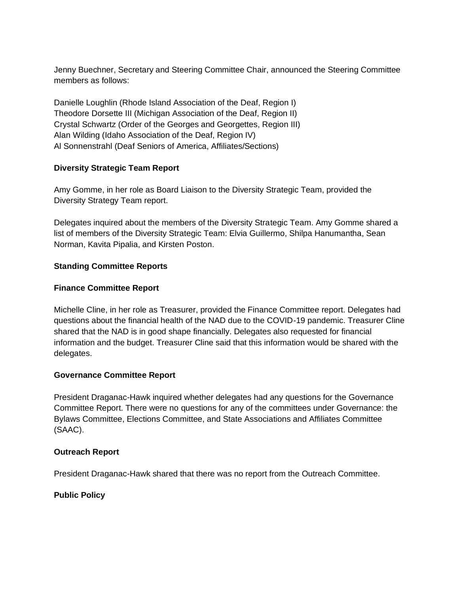Jenny Buechner, Secretary and Steering Committee Chair, announced the Steering Committee members as follows:

Danielle Loughlin (Rhode Island Association of the Deaf, Region I) Theodore Dorsette III (Michigan Association of the Deaf, Region II) Crystal Schwartz (Order of the Georges and Georgettes, Region III) Alan Wilding (Idaho Association of the Deaf, Region IV) Al Sonnenstrahl (Deaf Seniors of America, Affiliates/Sections)

# **Diversity Strategic Team Report**

Amy Gomme, in her role as Board Liaison to the Diversity Strategic Team, provided the Diversity Strategy Team report.

Delegates inquired about the members of the Diversity Strategic Team. Amy Gomme shared a list of members of the Diversity Strategic Team: Elvia Guillermo, Shilpa Hanumantha, Sean Norman, Kavita Pipalia, and Kirsten Poston.

# **Standing Committee Reports**

# **Finance Committee Report**

Michelle Cline, in her role as Treasurer, provided the Finance Committee report. Delegates had questions about the financial health of the NAD due to the COVID-19 pandemic. Treasurer Cline shared that the NAD is in good shape financially. Delegates also requested for financial information and the budget. Treasurer Cline said that this information would be shared with the delegates.

#### **Governance Committee Report**

President Draganac-Hawk inquired whether delegates had any questions for the Governance Committee Report. There were no questions for any of the committees under Governance: the Bylaws Committee, Elections Committee, and State Associations and Affiliates Committee (SAAC).

#### **Outreach Report**

President Draganac-Hawk shared that there was no report from the Outreach Committee.

# **Public Policy**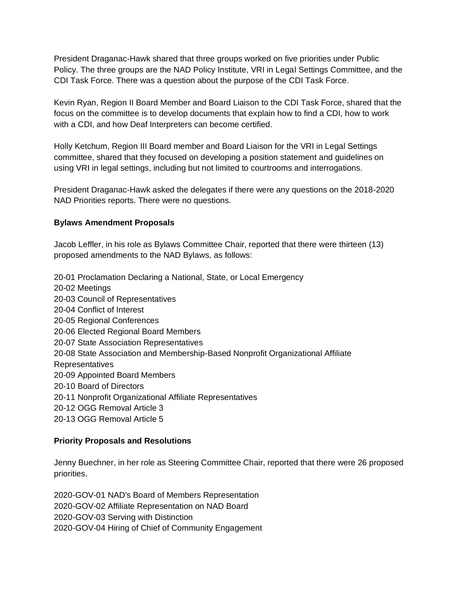President Draganac-Hawk shared that three groups worked on five priorities under Public Policy. The three groups are the NAD Policy Institute, VRI in Legal Settings Committee, and the CDI Task Force. There was a question about the purpose of the CDI Task Force.

Kevin Ryan, Region II Board Member and Board Liaison to the CDI Task Force, shared that the focus on the committee is to develop documents that explain how to find a CDI, how to work with a CDI, and how Deaf Interpreters can become certified.

Holly Ketchum, Region III Board member and Board Liaison for the VRI in Legal Settings committee, shared that they focused on developing a position statement and guidelines on using VRI in legal settings, including but not limited to courtrooms and interrogations.

President Draganac-Hawk asked the delegates if there were any questions on the 2018-2020 NAD Priorities reports. There were no questions.

# **Bylaws Amendment Proposals**

Jacob Leffler, in his role as Bylaws Committee Chair, reported that there were thirteen (13) proposed amendments to the NAD Bylaws, as follows:

20-01 Proclamation Declaring a National, State, or Local Emergency 20-02 Meetings 20-03 Council of Representatives 20-04 Conflict of Interest 20-05 Regional Conferences 20-06 Elected Regional Board Members 20-07 State Association Representatives 20-08 State Association and Membership-Based Nonprofit Organizational Affiliate Representatives 20-09 Appointed Board Members 20-10 Board of Directors 20-11 Nonprofit Organizational Affiliate Representatives 20-12 OGG Removal Article 3 20-13 OGG Removal Article 5

# **Priority Proposals and Resolutions**

Jenny Buechner, in her role as Steering Committee Chair, reported that there were 26 proposed priorities.

2020-GOV-01 NAD's Board of Members Representation 2020-GOV-02 Affiliate Representation on NAD Board 2020-GOV-03 Serving with Distinction 2020-GOV-04 Hiring of Chief of Community Engagement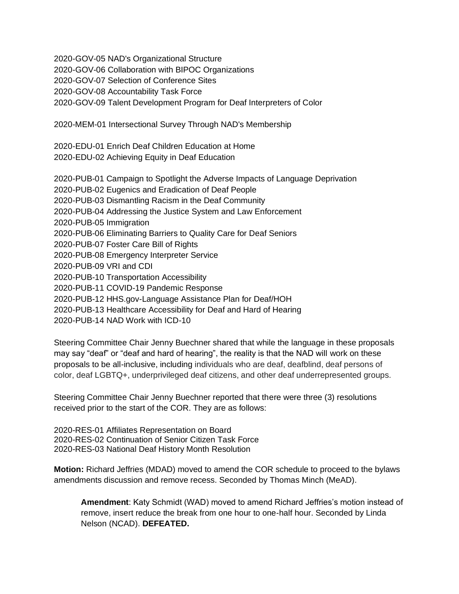2020-GOV-05 NAD's Organizational Structure 2020-GOV-06 Collaboration with BIPOC Organizations 2020-GOV-07 Selection of Conference Sites 2020-GOV-08 Accountability Task Force 2020-GOV-09 Talent Development Program for Deaf Interpreters of Color

2020-MEM-01 Intersectional Survey Through NAD's Membership

2020-EDU-01 Enrich Deaf Children Education at Home 2020-EDU-02 Achieving Equity in Deaf Education

2020-PUB-01 Campaign to Spotlight the Adverse Impacts of Language Deprivation 2020-PUB-02 Eugenics and Eradication of Deaf People 2020-PUB-03 Dismantling Racism in the Deaf Community 2020-PUB-04 Addressing the Justice System and Law Enforcement 2020-PUB-05 Immigration 2020-PUB-06 Eliminating Barriers to Quality Care for Deaf Seniors 2020-PUB-07 Foster Care Bill of Rights 2020-PUB-08 Emergency Interpreter Service 2020-PUB-09 VRI and CDI 2020-PUB-10 Transportation Accessibility 2020-PUB-11 COVID-19 Pandemic Response 2020-PUB-12 HHS.gov-Language Assistance Plan for Deaf/HOH 2020-PUB-13 Healthcare Accessibility for Deaf and Hard of Hearing 2020-PUB-14 NAD Work with ICD-10

Steering Committee Chair Jenny Buechner shared that while the language in these proposals may say "deaf" or "deaf and hard of hearing", the reality is that the NAD will work on these proposals to be all-inclusive, including individuals who are deaf, deafblind, deaf persons of color, deaf LGBTQ+, underprivileged deaf citizens, and other deaf underrepresented groups.

Steering Committee Chair Jenny Buechner reported that there were three (3) resolutions received prior to the start of the COR. They are as follows:

2020-RES-01 Affiliates Representation on Board 2020-RES-02 Continuation of Senior Citizen Task Force 2020-RES-03 National Deaf History Month Resolution

**Motion:** Richard Jeffries (MDAD) moved to amend the COR schedule to proceed to the bylaws amendments discussion and remove recess. Seconded by Thomas Minch (MeAD).

**Amendment**: Katy Schmidt (WAD) moved to amend Richard Jeffries's motion instead of remove, insert reduce the break from one hour to one-half hour. Seconded by Linda Nelson (NCAD). **DEFEATED.**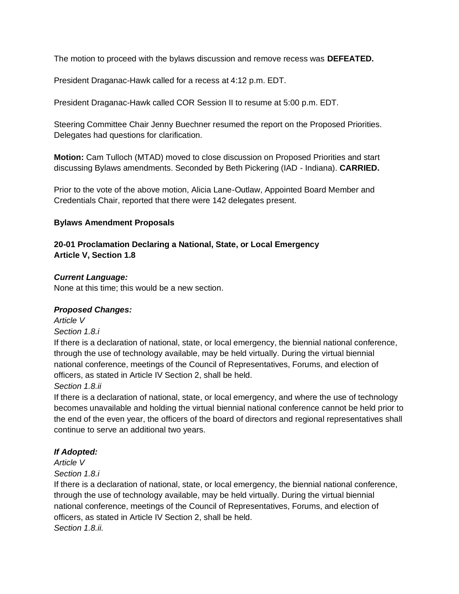The motion to proceed with the bylaws discussion and remove recess was **DEFEATED.** 

President Draganac-Hawk called for a recess at 4:12 p.m. EDT.

President Draganac-Hawk called COR Session II to resume at 5:00 p.m. EDT.

Steering Committee Chair Jenny Buechner resumed the report on the Proposed Priorities. Delegates had questions for clarification.

**Motion:** Cam Tulloch (MTAD) moved to close discussion on Proposed Priorities and start discussing Bylaws amendments. Seconded by Beth Pickering (IAD - Indiana). **CARRIED.**

Prior to the vote of the above motion, Alicia Lane-Outlaw, Appointed Board Member and Credentials Chair, reported that there were 142 delegates present.

# **Bylaws Amendment Proposals**

# **20-01 Proclamation Declaring a National, State, or Local Emergency Article V, Section 1.8**

# *Current Language:*

None at this time; this would be a new section.

# *Proposed Changes:*

*Article V*

#### *Section 1.8.i*

If there is a declaration of national, state, or local emergency, the biennial national conference, through the use of technology available, may be held virtually. During the virtual biennial national conference, meetings of the Council of Representatives, Forums, and election of officers, as stated in Article IV Section 2, shall be held.

*Section 1.8.ii*

If there is a declaration of national, state, or local emergency, and where the use of technology becomes unavailable and holding the virtual biennial national conference cannot be held prior to the end of the even year, the officers of the board of directors and regional representatives shall continue to serve an additional two years.

# *If Adopted:*

*Article V*

*Section 1.8.i* 

If there is a declaration of national, state, or local emergency, the biennial national conference, through the use of technology available, may be held virtually. During the virtual biennial national conference, meetings of the Council of Representatives, Forums, and election of officers, as stated in Article IV Section 2, shall be held. *Section 1.8.ii.*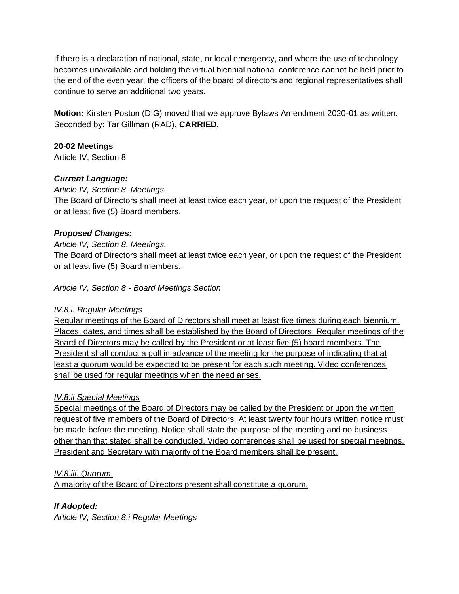If there is a declaration of national, state, or local emergency, and where the use of technology becomes unavailable and holding the virtual biennial national conference cannot be held prior to the end of the even year, the officers of the board of directors and regional representatives shall continue to serve an additional two years.

**Motion:** Kirsten Poston (DIG) moved that we approve Bylaws Amendment 2020-01 as written. Seconded by: Tar Gillman (RAD). **CARRIED.** 

# **20-02 Meetings**

Article IV, Section 8

# *Current Language:*

*Article IV, Section 8. Meetings.* 

The Board of Directors shall meet at least twice each year, or upon the request of the President or at least five (5) Board members.

# *Proposed Changes:*

*Article IV, Section 8. Meetings.* 

The Board of Directors shall meet at least twice each year, or upon the request of the President or at least five (5) Board members.

# *Article IV, Section 8 - Board Meetings Section*

#### *IV.8.i. Regular Meetings*

Regular meetings of the Board of Directors shall meet at least five times during each biennium. Places, dates, and times shall be established by the Board of Directors. Regular meetings of the Board of Directors may be called by the President or at least five (5) board members. The President shall conduct a poll in advance of the meeting for the purpose of indicating that at least a quorum would be expected to be present for each such meeting. Video conferences shall be used for regular meetings when the need arises.

#### *IV.8.ii Special Meetings*

Special meetings of the Board of Directors may be called by the President or upon the written request of five members of the Board of Directors. At least twenty four hours written notice must be made before the meeting. Notice shall state the purpose of the meeting and no business other than that stated shall be conducted. Video conferences shall be used for special meetings. President and Secretary with majority of the Board members shall be present.

#### *IV.8.iii. Quorum.*

A majority of the Board of Directors present shall constitute a quorum.

# *If Adopted:*

*Article IV, Section 8.i Regular Meetings*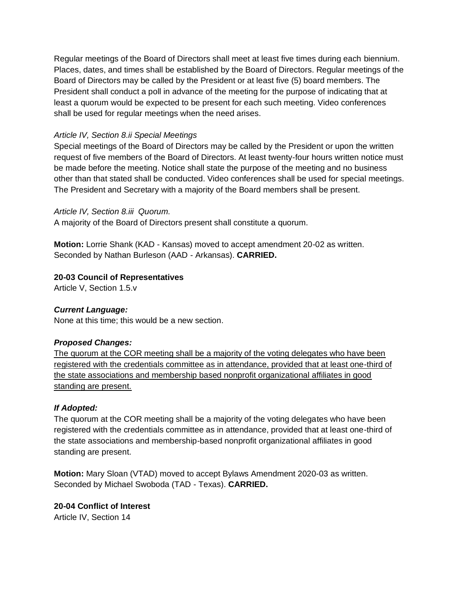Regular meetings of the Board of Directors shall meet at least five times during each biennium. Places, dates, and times shall be established by the Board of Directors. Regular meetings of the Board of Directors may be called by the President or at least five (5) board members. The President shall conduct a poll in advance of the meeting for the purpose of indicating that at least a quorum would be expected to be present for each such meeting. Video conferences shall be used for regular meetings when the need arises.

# *Article IV, Section 8.ii Special Meetings*

Special meetings of the Board of Directors may be called by the President or upon the written request of five members of the Board of Directors. At least twenty-four hours written notice must be made before the meeting. Notice shall state the purpose of the meeting and no business other than that stated shall be conducted. Video conferences shall be used for special meetings. The President and Secretary with a majority of the Board members shall be present.

# *Article IV, Section 8.iii Quorum.*

A majority of the Board of Directors present shall constitute a quorum.

**Motion:** Lorrie Shank (KAD - Kansas) moved to accept amendment 20-02 as written. Seconded by Nathan Burleson (AAD - Arkansas). **CARRIED.** 

# **20-03 Council of Representatives**

Article V, Section 1.5.v

#### *Current Language:*

None at this time; this would be a new section.

# *Proposed Changes:*

The quorum at the COR meeting shall be a majority of the voting delegates who have been registered with the credentials committee as in attendance, provided that at least one-third of the state associations and membership based nonprofit organizational affiliates in good standing are present.

# *If Adopted:*

The quorum at the COR meeting shall be a majority of the voting delegates who have been registered with the credentials committee as in attendance, provided that at least one-third of the state associations and membership-based nonprofit organizational affiliates in good standing are present.

**Motion:** Mary Sloan (VTAD) moved to accept Bylaws Amendment 2020-03 as written. Seconded by Michael Swoboda (TAD - Texas). **CARRIED.** 

# **20-04 Conflict of Interest**

Article IV, Section 14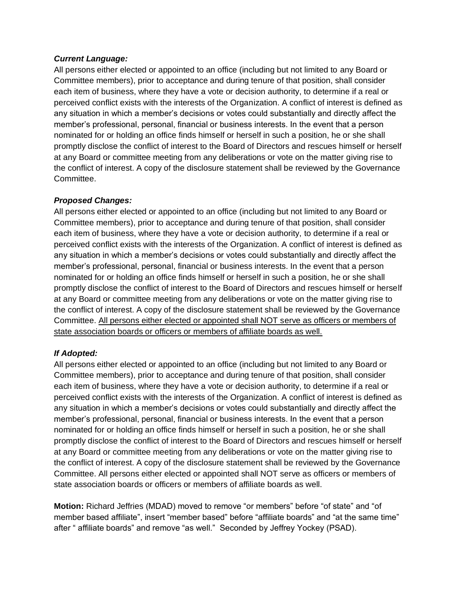### *Current Language:*

All persons either elected or appointed to an office (including but not limited to any Board or Committee members), prior to acceptance and during tenure of that position, shall consider each item of business, where they have a vote or decision authority, to determine if a real or perceived conflict exists with the interests of the Organization. A conflict of interest is defined as any situation in which a member's decisions or votes could substantially and directly affect the member's professional, personal, financial or business interests. In the event that a person nominated for or holding an office finds himself or herself in such a position, he or she shall promptly disclose the conflict of interest to the Board of Directors and rescues himself or herself at any Board or committee meeting from any deliberations or vote on the matter giving rise to the conflict of interest. A copy of the disclosure statement shall be reviewed by the Governance Committee.

# *Proposed Changes:*

All persons either elected or appointed to an office (including but not limited to any Board or Committee members), prior to acceptance and during tenure of that position, shall consider each item of business, where they have a vote or decision authority, to determine if a real or perceived conflict exists with the interests of the Organization. A conflict of interest is defined as any situation in which a member's decisions or votes could substantially and directly affect the member's professional, personal, financial or business interests. In the event that a person nominated for or holding an office finds himself or herself in such a position, he or she shall promptly disclose the conflict of interest to the Board of Directors and rescues himself or herself at any Board or committee meeting from any deliberations or vote on the matter giving rise to the conflict of interest. A copy of the disclosure statement shall be reviewed by the Governance Committee. All persons either elected or appointed shall NOT serve as officers or members of state association boards or officers or members of affiliate boards as well.

# *If Adopted:*

All persons either elected or appointed to an office (including but not limited to any Board or Committee members), prior to acceptance and during tenure of that position, shall consider each item of business, where they have a vote or decision authority, to determine if a real or perceived conflict exists with the interests of the Organization. A conflict of interest is defined as any situation in which a member's decisions or votes could substantially and directly affect the member's professional, personal, financial or business interests. In the event that a person nominated for or holding an office finds himself or herself in such a position, he or she shall promptly disclose the conflict of interest to the Board of Directors and rescues himself or herself at any Board or committee meeting from any deliberations or vote on the matter giving rise to the conflict of interest. A copy of the disclosure statement shall be reviewed by the Governance Committee. All persons either elected or appointed shall NOT serve as officers or members of state association boards or officers or members of affiliate boards as well.

**Motion:** Richard Jeffries (MDAD) moved to remove "or members" before "of state" and "of member based affiliate", insert "member based" before "affiliate boards" and "at the same time" after " affiliate boards" and remove "as well." Seconded by Jeffrey Yockey (PSAD).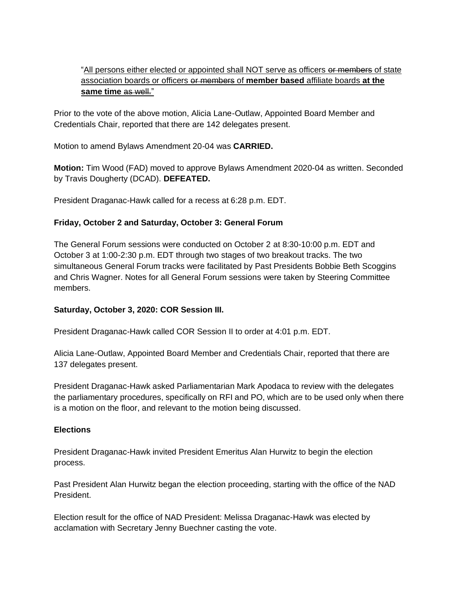# "All persons either elected or appointed shall NOT serve as officers or members of state association boards or officers or members of **member based** affiliate boards **at the same time** as well."

Prior to the vote of the above motion, Alicia Lane-Outlaw, Appointed Board Member and Credentials Chair, reported that there are 142 delegates present.

Motion to amend Bylaws Amendment 20-04 was **CARRIED.** 

**Motion:** Tim Wood (FAD) moved to approve Bylaws Amendment 2020-04 as written. Seconded by Travis Dougherty (DCAD). **DEFEATED.** 

President Draganac-Hawk called for a recess at 6:28 p.m. EDT.

# **Friday, October 2 and Saturday, October 3: General Forum**

The General Forum sessions were conducted on October 2 at 8:30-10:00 p.m. EDT and October 3 at 1:00-2:30 p.m. EDT through two stages of two breakout tracks. The two simultaneous General Forum tracks were facilitated by Past Presidents Bobbie Beth Scoggins and Chris Wagner. Notes for all General Forum sessions were taken by Steering Committee members.

# **Saturday, October 3, 2020: COR Session III.**

President Draganac-Hawk called COR Session II to order at 4:01 p.m. EDT.

Alicia Lane-Outlaw, Appointed Board Member and Credentials Chair, reported that there are 137 delegates present.

President Draganac-Hawk asked Parliamentarian Mark Apodaca to review with the delegates the parliamentary procedures, specifically on RFI and PO, which are to be used only when there is a motion on the floor, and relevant to the motion being discussed.

#### **Elections**

President Draganac-Hawk invited President Emeritus Alan Hurwitz to begin the election process.

Past President Alan Hurwitz began the election proceeding, starting with the office of the NAD President.

Election result for the office of NAD President: Melissa Draganac-Hawk was elected by acclamation with Secretary Jenny Buechner casting the vote.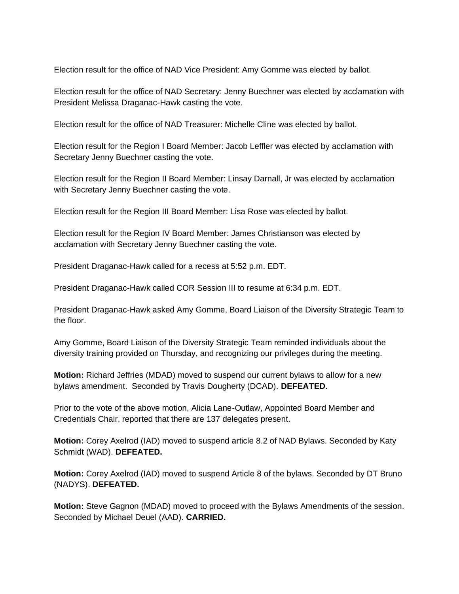Election result for the office of NAD Vice President: Amy Gomme was elected by ballot.

Election result for the office of NAD Secretary: Jenny Buechner was elected by acclamation with President Melissa Draganac-Hawk casting the vote.

Election result for the office of NAD Treasurer: Michelle Cline was elected by ballot.

Election result for the Region I Board Member: Jacob Leffler was elected by acclamation with Secretary Jenny Buechner casting the vote.

Election result for the Region II Board Member: Linsay Darnall, Jr was elected by acclamation with Secretary Jenny Buechner casting the vote.

Election result for the Region III Board Member: Lisa Rose was elected by ballot.

Election result for the Region IV Board Member: James Christianson was elected by acclamation with Secretary Jenny Buechner casting the vote.

President Draganac-Hawk called for a recess at 5:52 p.m. EDT.

President Draganac-Hawk called COR Session III to resume at 6:34 p.m. EDT.

President Draganac-Hawk asked Amy Gomme, Board Liaison of the Diversity Strategic Team to the floor.

Amy Gomme, Board Liaison of the Diversity Strategic Team reminded individuals about the diversity training provided on Thursday, and recognizing our privileges during the meeting.

**Motion:** Richard Jeffries (MDAD) moved to suspend our current bylaws to allow for a new bylaws amendment. Seconded by Travis Dougherty (DCAD). **DEFEATED.** 

Prior to the vote of the above motion, Alicia Lane-Outlaw, Appointed Board Member and Credentials Chair, reported that there are 137 delegates present.

**Motion:** Corey Axelrod (IAD) moved to suspend article 8.2 of NAD Bylaws. Seconded by Katy Schmidt (WAD). **DEFEATED.** 

**Motion:** Corey Axelrod (IAD) moved to suspend Article 8 of the bylaws. Seconded by DT Bruno (NADYS). **DEFEATED.** 

**Motion:** Steve Gagnon (MDAD) moved to proceed with the Bylaws Amendments of the session. Seconded by Michael Deuel (AAD). **CARRIED.**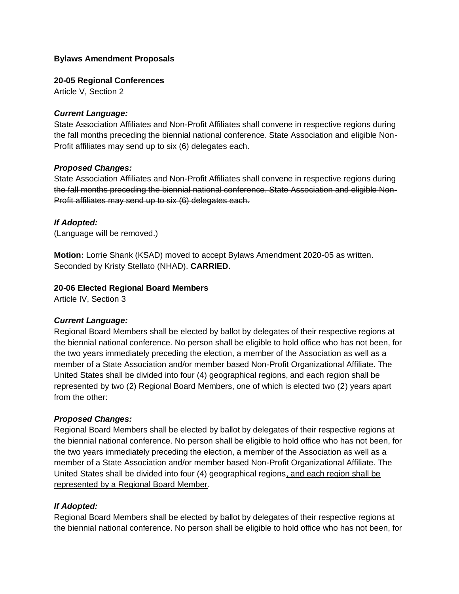### **Bylaws Amendment Proposals**

#### **20-05 Regional Conferences**

Article V, Section 2

#### *Current Language:*

State Association Affiliates and Non-Profit Affiliates shall convene in respective regions during the fall months preceding the biennial national conference. State Association and eligible Non-Profit affiliates may send up to six (6) delegates each.

#### *Proposed Changes:*

State Association Affiliates and Non-Profit Affiliates shall convene in respective regions during the fall months preceding the biennial national conference. State Association and eligible Non-Profit affiliates may send up to six (6) delegates each.

#### *If Adopted:*

(Language will be removed.)

**Motion:** Lorrie Shank (KSAD) moved to accept Bylaws Amendment 2020-05 as written. Seconded by Kristy Stellato (NHAD). **CARRIED.** 

#### **20-06 Elected Regional Board Members**

Article IV, Section 3

#### *Current Language:*

Regional Board Members shall be elected by ballot by delegates of their respective regions at the biennial national conference. No person shall be eligible to hold office who has not been, for the two years immediately preceding the election, a member of the Association as well as a member of a State Association and/or member based Non-Profit Organizational Affiliate. The United States shall be divided into four (4) geographical regions, and each region shall be represented by two (2) Regional Board Members, one of which is elected two (2) years apart from the other:

#### *Proposed Changes:*

Regional Board Members shall be elected by ballot by delegates of their respective regions at the biennial national conference. No person shall be eligible to hold office who has not been, for the two years immediately preceding the election, a member of the Association as well as a member of a State Association and/or member based Non-Profit Organizational Affiliate. The United States shall be divided into four (4) geographical regions, and each region shall be represented by a Regional Board Member.

#### *If Adopted:*

Regional Board Members shall be elected by ballot by delegates of their respective regions at the biennial national conference. No person shall be eligible to hold office who has not been, for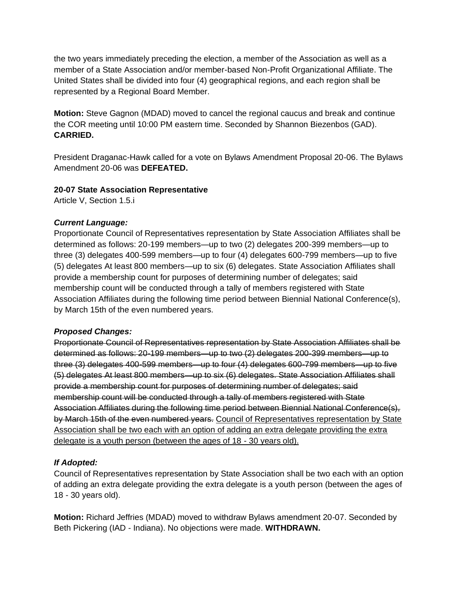the two years immediately preceding the election, a member of the Association as well as a member of a State Association and/or member-based Non-Profit Organizational Affiliate. The United States shall be divided into four (4) geographical regions, and each region shall be represented by a Regional Board Member.

**Motion:** Steve Gagnon (MDAD) moved to cancel the regional caucus and break and continue the COR meeting until 10:00 PM eastern time. Seconded by Shannon Biezenbos (GAD). **CARRIED.** 

President Draganac-Hawk called for a vote on Bylaws Amendment Proposal 20-06. The Bylaws Amendment 20-06 was **DEFEATED.** 

# **20-07 State Association Representative**

Article V, Section 1.5.i

# *Current Language:*

Proportionate Council of Representatives representation by State Association Affiliates shall be determined as follows: 20-199 members—up to two (2) delegates 200-399 members—up to three (3) delegates 400-599 members—up to four (4) delegates 600-799 members—up to five (5) delegates At least 800 members—up to six (6) delegates. State Association Affiliates shall provide a membership count for purposes of determining number of delegates; said membership count will be conducted through a tally of members registered with State Association Affiliates during the following time period between Biennial National Conference(s), by March 15th of the even numbered years.

#### *Proposed Changes:*

Proportionate Council of Representatives representation by State Association Affiliates shall be determined as follows: 20-199 members—up to two (2) delegates 200-399 members—up to three (3) delegates 400-599 members—up to four (4) delegates 600-799 members—up to five (5) delegates At least 800 members—up to six (6) delegates. State Association Affiliates shall provide a membership count for purposes of determining number of delegates; said membership count will be conducted through a tally of members registered with State Association Affiliates during the following time period between Biennial National Conference(s), by March 15th of the even numbered years. Council of Representatives representation by State Association shall be two each with an option of adding an extra delegate providing the extra delegate is a youth person (between the ages of 18 - 30 years old).

# *If Adopted:*

Council of Representatives representation by State Association shall be two each with an option of adding an extra delegate providing the extra delegate is a youth person (between the ages of 18 - 30 years old).

**Motion:** Richard Jeffries (MDAD) moved to withdraw Bylaws amendment 20-07. Seconded by Beth Pickering (IAD - Indiana). No objections were made. **WITHDRAWN.**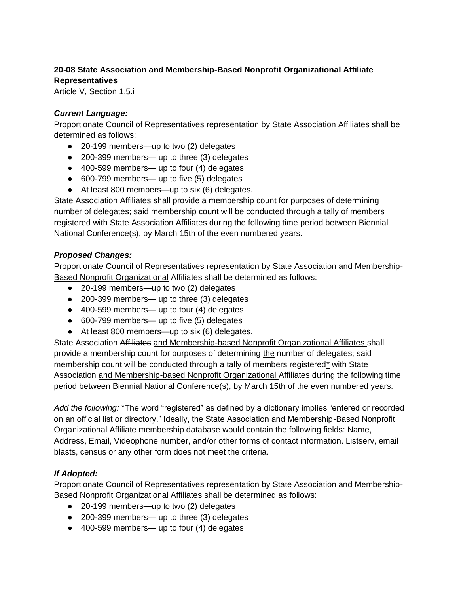# **20-08 State Association and Membership-Based Nonprofit Organizational Affiliate Representatives**

Article V, Section 1.5.i

# *Current Language:*

Proportionate Council of Representatives representation by State Association Affiliates shall be determined as follows:

- 20-199 members—up to two (2) delegates
- 200-399 members— up to three (3) delegates
- 400-599 members— up to four (4) delegates
- 600-799 members— up to five (5) delegates
- At least 800 members—up to six (6) delegates.

State Association Affiliates shall provide a membership count for purposes of determining number of delegates; said membership count will be conducted through a tally of members registered with State Association Affiliates during the following time period between Biennial National Conference(s), by March 15th of the even numbered years.

# *Proposed Changes:*

Proportionate Council of Representatives representation by State Association and Membership-Based Nonprofit Organizational Affiliates shall be determined as follows:

- 20-199 members—up to two (2) delegates
- 200-399 members— up to three (3) delegates
- 400-599 members— up to four (4) delegates
- 600-799 members— up to five (5) delegates
- At least 800 members—up to six (6) delegates.

State Association Affiliates and Membership-based Nonprofit Organizational Affiliates shall provide a membership count for purposes of determining the number of delegates; said membership count will be conducted through a tally of members registered\* with State Association and Membership-based Nonprofit Organizational Affiliates during the following time period between Biennial National Conference(s), by March 15th of the even numbered years.

*Add the following:* \*The word "registered" as defined by a dictionary implies "entered or recorded on an official list or directory." Ideally, the State Association and Membership-Based Nonprofit Organizational Affiliate membership database would contain the following fields: Name, Address, Email, Videophone number, and/or other forms of contact information. Listserv, email blasts, census or any other form does not meet the criteria.

# *If Adopted:*

Proportionate Council of Representatives representation by State Association and Membership-Based Nonprofit Organizational Affiliates shall be determined as follows:

- 20-199 members—up to two (2) delegates
- 200-399 members— up to three (3) delegates
- 400-599 members— up to four (4) delegates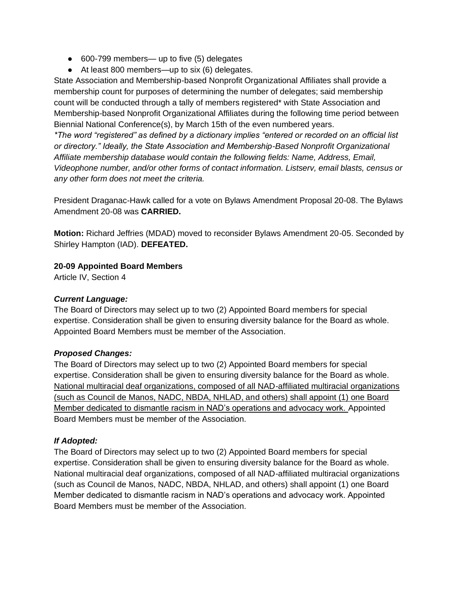- 600-799 members— up to five (5) delegates
- At least 800 members—up to six (6) delegates.

State Association and Membership-based Nonprofit Organizational Affiliates shall provide a membership count for purposes of determining the number of delegates; said membership count will be conducted through a tally of members registered\* with State Association and Membership-based Nonprofit Organizational Affiliates during the following time period between Biennial National Conference(s), by March 15th of the even numbered years.

*\*The word "registered" as defined by a dictionary implies "entered or recorded on an official list or directory." Ideally, the State Association and Membership-Based Nonprofit Organizational Affiliate membership database would contain the following fields: Name, Address, Email, Videophone number, and/or other forms of contact information. Listserv, email blasts, census or any other form does not meet the criteria.*

President Draganac-Hawk called for a vote on Bylaws Amendment Proposal 20-08. The Bylaws Amendment 20-08 was **CARRIED.** 

**Motion:** Richard Jeffries (MDAD) moved to reconsider Bylaws Amendment 20-05. Seconded by Shirley Hampton (IAD). **DEFEATED.** 

# **20-09 Appointed Board Members**

Article IV, Section 4

### *Current Language:*

The Board of Directors may select up to two (2) Appointed Board members for special expertise. Consideration shall be given to ensuring diversity balance for the Board as whole. Appointed Board Members must be member of the Association.

# *Proposed Changes:*

The Board of Directors may select up to two (2) Appointed Board members for special expertise. Consideration shall be given to ensuring diversity balance for the Board as whole. National multiracial deaf organizations, composed of all NAD-affiliated multiracial organizations (such as Council de Manos, NADC, NBDA, NHLAD, and others) shall appoint (1) one Board Member dedicated to dismantle racism in NAD's operations and advocacy work. Appointed Board Members must be member of the Association.

# *If Adopted:*

The Board of Directors may select up to two (2) Appointed Board members for special expertise. Consideration shall be given to ensuring diversity balance for the Board as whole. National multiracial deaf organizations, composed of all NAD-affiliated multiracial organizations (such as Council de Manos, NADC, NBDA, NHLAD, and others) shall appoint (1) one Board Member dedicated to dismantle racism in NAD's operations and advocacy work. Appointed Board Members must be member of the Association.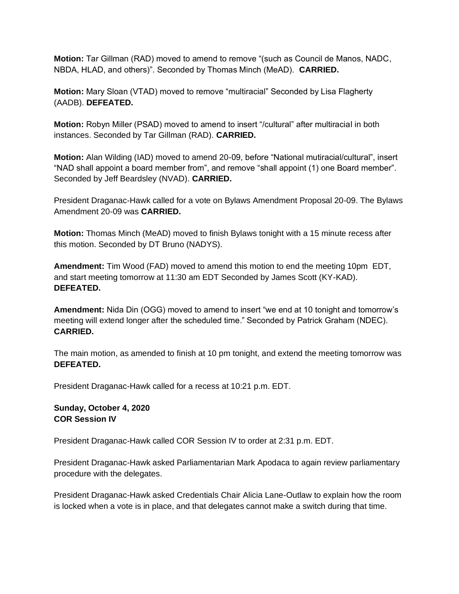**Motion:** Tar Gillman (RAD) moved to amend to remove "(such as Council de Manos, NADC, NBDA, HLAD, and others)". Seconded by Thomas Minch (MeAD). **CARRIED.**

**Motion:** Mary Sloan (VTAD) moved to remove "multiracial" Seconded by Lisa Flagherty (AADB). **DEFEATED.** 

**Motion:** Robyn Miller (PSAD) moved to amend to insert "/cultural" after multiracial in both instances. Seconded by Tar Gillman (RAD). **CARRIED.** 

**Motion:** Alan Wilding (IAD) moved to amend 20-09, before "National mutiracial/cultural", insert "NAD shall appoint a board member from", and remove "shall appoint (1) one Board member". Seconded by Jeff Beardsley (NVAD). **CARRIED.** 

President Draganac-Hawk called for a vote on Bylaws Amendment Proposal 20-09. The Bylaws Amendment 20-09 was **CARRIED.** 

**Motion:** Thomas Minch (MeAD) moved to finish Bylaws tonight with a 15 minute recess after this motion. Seconded by DT Bruno (NADYS).

**Amendment:** Tim Wood (FAD) moved to amend this motion to end the meeting 10pm EDT, and start meeting tomorrow at 11:30 am EDT Seconded by James Scott (KY-KAD). **DEFEATED.**

**Amendment:** Nida Din (OGG) moved to amend to insert "we end at 10 tonight and tomorrow's meeting will extend longer after the scheduled time." Seconded by Patrick Graham (NDEC). **CARRIED.**

The main motion, as amended to finish at 10 pm tonight, and extend the meeting tomorrow was **DEFEATED.** 

President Draganac-Hawk called for a recess at 10:21 p.m. EDT.

**Sunday, October 4, 2020 COR Session IV**

President Draganac-Hawk called COR Session IV to order at 2:31 p.m. EDT.

President Draganac-Hawk asked Parliamentarian Mark Apodaca to again review parliamentary procedure with the delegates.

President Draganac-Hawk asked Credentials Chair Alicia Lane-Outlaw to explain how the room is locked when a vote is in place, and that delegates cannot make a switch during that time.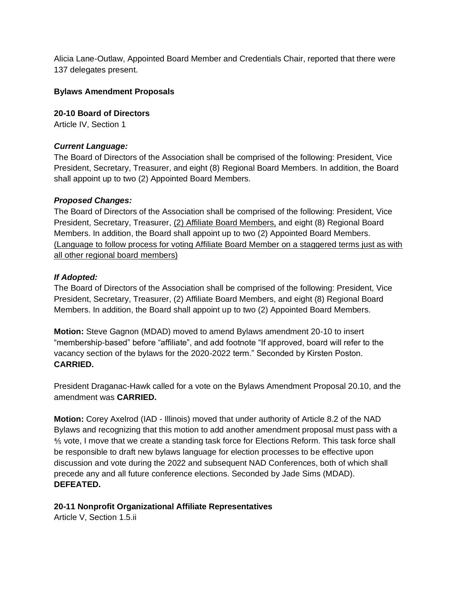Alicia Lane-Outlaw, Appointed Board Member and Credentials Chair, reported that there were 137 delegates present.

#### **Bylaws Amendment Proposals**

**20-10 Board of Directors** Article IV, Section 1

#### *Current Language:*

The Board of Directors of the Association shall be comprised of the following: President, Vice President, Secretary, Treasurer, and eight (8) Regional Board Members. In addition, the Board shall appoint up to two (2) Appointed Board Members.

#### *Proposed Changes:*

The Board of Directors of the Association shall be comprised of the following: President, Vice President, Secretary, Treasurer, (2) Affiliate Board Members, and eight (8) Regional Board Members. In addition, the Board shall appoint up to two (2) Appointed Board Members. (Language to follow process for voting Affiliate Board Member on a staggered terms just as with all other regional board members)

#### *If Adopted:*

The Board of Directors of the Association shall be comprised of the following: President, Vice President, Secretary, Treasurer, (2) Affiliate Board Members, and eight (8) Regional Board Members. In addition, the Board shall appoint up to two (2) Appointed Board Members.

**Motion:** Steve Gagnon (MDAD) moved to amend Bylaws amendment 20-10 to insert "membership-based" before "affiliate", and add footnote "If approved, board will refer to the vacancy section of the bylaws for the 2020-2022 term." Seconded by Kirsten Poston. **CARRIED.** 

President Draganac-Hawk called for a vote on the Bylaws Amendment Proposal 20.10, and the amendment was **CARRIED.** 

**Motion:** Corey Axelrod (IAD - Illinois) moved that under authority of Article 8.2 of the NAD Bylaws and recognizing that this motion to add another amendment proposal must pass with a ⅘ vote, I move that we create a standing task force for Elections Reform. This task force shall be responsible to draft new bylaws language for election processes to be effective upon discussion and vote during the 2022 and subsequent NAD Conferences, both of which shall precede any and all future conference elections. Seconded by Jade Sims (MDAD). **DEFEATED.** 

#### **20-11 Nonprofit Organizational Affiliate Representatives**

Article V, Section 1.5.ii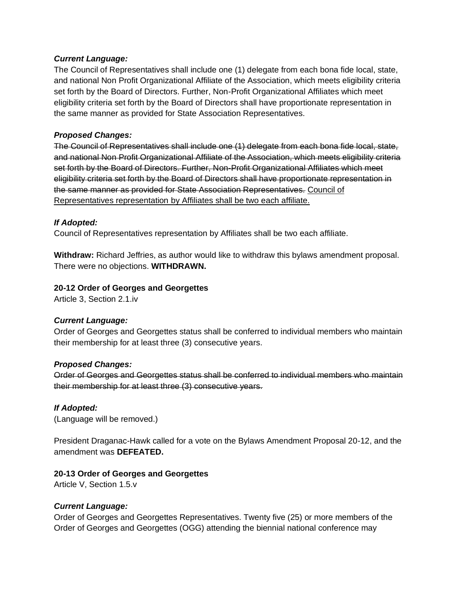#### *Current Language:*

The Council of Representatives shall include one (1) delegate from each bona fide local, state, and national Non Profit Organizational Affiliate of the Association, which meets eligibility criteria set forth by the Board of Directors. Further, Non-Profit Organizational Affiliates which meet eligibility criteria set forth by the Board of Directors shall have proportionate representation in the same manner as provided for State Association Representatives.

### *Proposed Changes:*

The Council of Representatives shall include one (1) delegate from each bona fide local, state, and national Non Profit Organizational Affiliate of the Association, which meets eligibility criteria set forth by the Board of Directors. Further, Non-Profit Organizational Affiliates which meet eligibility criteria set forth by the Board of Directors shall have proportionate representation in the same manner as provided for State Association Representatives. Council of Representatives representation by Affiliates shall be two each affiliate.

#### *If Adopted:*

Council of Representatives representation by Affiliates shall be two each affiliate.

**Withdraw:** Richard Jeffries, as author would like to withdraw this bylaws amendment proposal. There were no objections. **WITHDRAWN.** 

#### **20-12 Order of Georges and Georgettes**

Article 3, Section 2.1.iv

#### *Current Language:*

Order of Georges and Georgettes status shall be conferred to individual members who maintain their membership for at least three (3) consecutive years.

#### *Proposed Changes:*

Order of Georges and Georgettes status shall be conferred to individual members who maintain their membership for at least three (3) consecutive years.

#### *If Adopted:*

(Language will be removed.)

President Draganac-Hawk called for a vote on the Bylaws Amendment Proposal 20-12, and the amendment was **DEFEATED.** 

#### **20-13 Order of Georges and Georgettes**

Article V, Section 1.5.v

#### *Current Language:*

Order of Georges and Georgettes Representatives. Twenty five (25) or more members of the Order of Georges and Georgettes (OGG) attending the biennial national conference may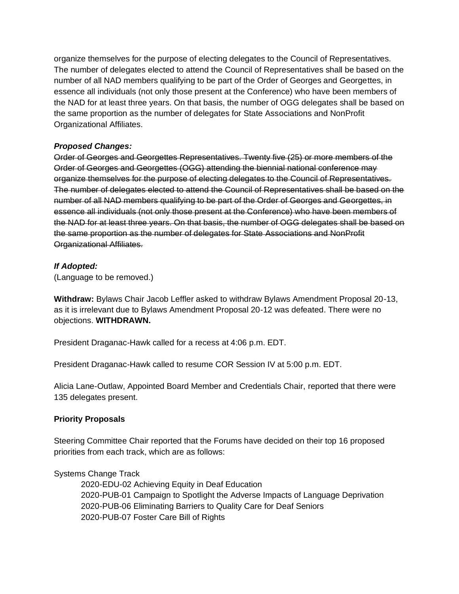organize themselves for the purpose of electing delegates to the Council of Representatives. The number of delegates elected to attend the Council of Representatives shall be based on the number of all NAD members qualifying to be part of the Order of Georges and Georgettes, in essence all individuals (not only those present at the Conference) who have been members of the NAD for at least three years. On that basis, the number of OGG delegates shall be based on the same proportion as the number of delegates for State Associations and NonProfit Organizational Affiliates.

# *Proposed Changes:*

Order of Georges and Georgettes Representatives. Twenty five (25) or more members of the Order of Georges and Georgettes (OGG) attending the biennial national conference may organize themselves for the purpose of electing delegates to the Council of Representatives. The number of delegates elected to attend the Council of Representatives shall be based on the number of all NAD members qualifying to be part of the Order of Georges and Georgettes, in essence all individuals (not only those present at the Conference) who have been members of the NAD for at least three years. On that basis, the number of OGG delegates shall be based on the same proportion as the number of delegates for State Associations and NonProfit Organizational Affiliates.

# *If Adopted:*

(Language to be removed.)

**Withdraw:** Bylaws Chair Jacob Leffler asked to withdraw Bylaws Amendment Proposal 20-13, as it is irrelevant due to Bylaws Amendment Proposal 20-12 was defeated. There were no objections. **WITHDRAWN.** 

President Draganac-Hawk called for a recess at 4:06 p.m. EDT.

President Draganac-Hawk called to resume COR Session IV at 5:00 p.m. EDT.

Alicia Lane-Outlaw, Appointed Board Member and Credentials Chair, reported that there were 135 delegates present.

# **Priority Proposals**

Steering Committee Chair reported that the Forums have decided on their top 16 proposed priorities from each track, which are as follows:

# Systems Change Track

2020-EDU-02 Achieving Equity in Deaf Education 2020-PUB-01 Campaign to Spotlight the Adverse Impacts of Language Deprivation 2020-PUB-06 Eliminating Barriers to Quality Care for Deaf Seniors 2020-PUB-07 Foster Care Bill of Rights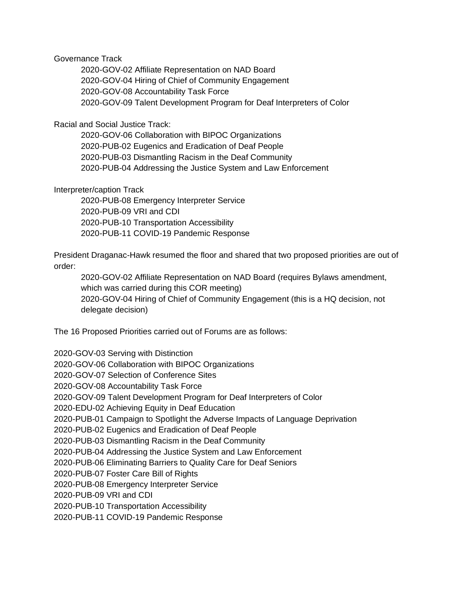#### Governance Track

2020-GOV-02 Affiliate Representation on NAD Board 2020-GOV-04 Hiring of Chief of Community Engagement 2020-GOV-08 Accountability Task Force 2020-GOV-09 Talent Development Program for Deaf Interpreters of Color

### Racial and Social Justice Track:

2020-GOV-06 Collaboration with BIPOC Organizations 2020-PUB-02 Eugenics and Eradication of Deaf People 2020-PUB-03 Dismantling Racism in the Deaf Community 2020-PUB-04 Addressing the Justice System and Law Enforcement

#### Interpreter/caption Track

2020-PUB-08 Emergency Interpreter Service 2020-PUB-09 VRI and CDI 2020-PUB-10 Transportation Accessibility 2020-PUB-11 COVID-19 Pandemic Response

President Draganac-Hawk resumed the floor and shared that two proposed priorities are out of order:

2020-GOV-02 Affiliate Representation on NAD Board (requires Bylaws amendment, which was carried during this COR meeting) 2020-GOV-04 Hiring of Chief of Community Engagement (this is a HQ decision, not delegate decision)

The 16 Proposed Priorities carried out of Forums are as follows:

2020-GOV-03 Serving with Distinction

2020-GOV-06 Collaboration with BIPOC Organizations

2020-GOV-07 Selection of Conference Sites

2020-GOV-08 Accountability Task Force

2020-GOV-09 Talent Development Program for Deaf Interpreters of Color

2020-EDU-02 Achieving Equity in Deaf Education

2020-PUB-01 Campaign to Spotlight the Adverse Impacts of Language Deprivation

2020-PUB-02 Eugenics and Eradication of Deaf People

2020-PUB-03 Dismantling Racism in the Deaf Community

2020-PUB-04 Addressing the Justice System and Law Enforcement

2020-PUB-06 Eliminating Barriers to Quality Care for Deaf Seniors

2020-PUB-07 Foster Care Bill of Rights

2020-PUB-08 Emergency Interpreter Service

2020-PUB-09 VRI and CDI

2020-PUB-10 Transportation Accessibility

2020-PUB-11 COVID-19 Pandemic Response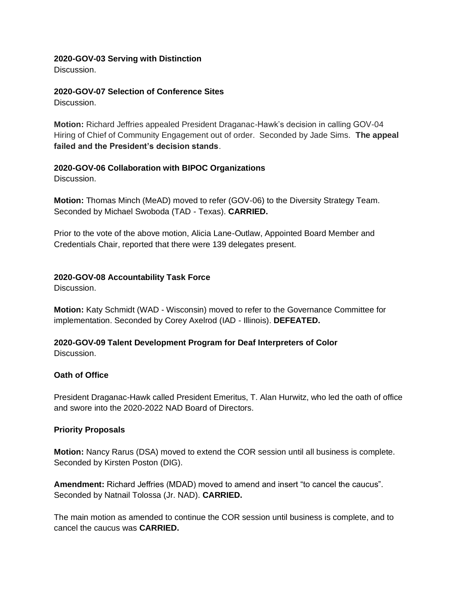#### **2020-GOV-03 Serving with Distinction**

Discussion.

# **2020-GOV-07 Selection of Conference Sites**

Discussion.

**Motion:** Richard Jeffries appealed President Draganac-Hawk's decision in calling GOV-04 Hiring of Chief of Community Engagement out of order. Seconded by Jade Sims. **The appeal failed and the President's decision stands**.

# **2020-GOV-06 Collaboration with BIPOC Organizations**

Discussion.

**Motion:** Thomas Minch (MeAD) moved to refer (GOV-06) to the Diversity Strategy Team. Seconded by Michael Swoboda (TAD - Texas). **CARRIED.** 

Prior to the vote of the above motion, Alicia Lane-Outlaw, Appointed Board Member and Credentials Chair, reported that there were 139 delegates present.

# **2020-GOV-08 Accountability Task Force**

Discussion.

**Motion:** Katy Schmidt (WAD - Wisconsin) moved to refer to the Governance Committee for implementation. Seconded by Corey Axelrod (IAD - Illinois). **DEFEATED.** 

# **2020-GOV-09 Talent Development Program for Deaf Interpreters of Color**

Discussion.

#### **Oath of Office**

President Draganac-Hawk called President Emeritus, T. Alan Hurwitz, who led the oath of office and swore into the 2020-2022 NAD Board of Directors.

#### **Priority Proposals**

**Motion:** Nancy Rarus (DSA) moved to extend the COR session until all business is complete. Seconded by Kirsten Poston (DIG).

**Amendment:** Richard Jeffries (MDAD) moved to amend and insert "to cancel the caucus". Seconded by Natnail Tolossa (Jr. NAD). **CARRIED.** 

The main motion as amended to continue the COR session until business is complete, and to cancel the caucus was **CARRIED.**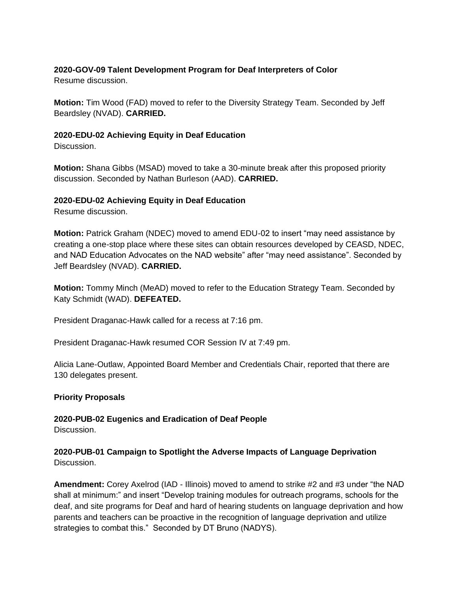# **2020-GOV-09 Talent Development Program for Deaf Interpreters of Color**

Resume discussion.

**Motion:** Tim Wood (FAD) moved to refer to the Diversity Strategy Team. Seconded by Jeff Beardsley (NVAD). **CARRIED.** 

### **2020-EDU-02 Achieving Equity in Deaf Education**

Discussion.

**Motion:** Shana Gibbs (MSAD) moved to take a 30-minute break after this proposed priority discussion. Seconded by Nathan Burleson (AAD). **CARRIED.** 

# **2020-EDU-02 Achieving Equity in Deaf Education**

Resume discussion.

**Motion:** Patrick Graham (NDEC) moved to amend EDU-02 to insert "may need assistance by creating a one-stop place where these sites can obtain resources developed by CEASD, NDEC, and NAD Education Advocates on the NAD website" after "may need assistance". Seconded by Jeff Beardsley (NVAD). **CARRIED.** 

**Motion:** Tommy Minch (MeAD) moved to refer to the Education Strategy Team. Seconded by Katy Schmidt (WAD). **DEFEATED.** 

President Draganac-Hawk called for a recess at 7:16 pm.

President Draganac-Hawk resumed COR Session IV at 7:49 pm.

Alicia Lane-Outlaw, Appointed Board Member and Credentials Chair, reported that there are 130 delegates present.

#### **Priority Proposals**

**2020-PUB-02 Eugenics and Eradication of Deaf People** Discussion.

# **2020-PUB-01 Campaign to Spotlight the Adverse Impacts of Language Deprivation** Discussion.

**Amendment:** Corey Axelrod (IAD - Illinois) moved to amend to strike #2 and #3 under "the NAD shall at minimum:" and insert "Develop training modules for outreach programs, schools for the deaf, and site programs for Deaf and hard of hearing students on language deprivation and how parents and teachers can be proactive in the recognition of language deprivation and utilize strategies to combat this." Seconded by DT Bruno (NADYS).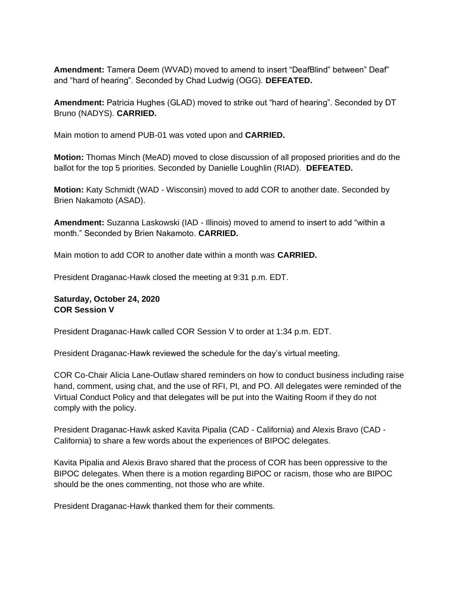Amendment: Tamera Deem (WVAD) moved to amend to insert "DeafBlind" between" Deaf" and "hard of hearing". Seconded by Chad Ludwig (OGG). **DEFEATED.** 

**Amendment:** Patricia Hughes (GLAD) moved to strike out "hard of hearing". Seconded by DT Bruno (NADYS). **CARRIED.** 

Main motion to amend PUB-01 was voted upon and **CARRIED.**

**Motion:** Thomas Minch (MeAD) moved to close discussion of all proposed priorities and do the ballot for the top 5 priorities. Seconded by Danielle Loughlin (RIAD). **DEFEATED.** 

**Motion:** Katy Schmidt (WAD - Wisconsin) moved to add COR to another date. Seconded by Brien Nakamoto (ASAD).

**Amendment:** Suzanna Laskowski (IAD - Illinois) moved to amend to insert to add "within a month." Seconded by Brien Nakamoto. **CARRIED.** 

Main motion to add COR to another date within a month was **CARRIED.** 

President Draganac-Hawk closed the meeting at 9:31 p.m. EDT.

# **Saturday, October 24, 2020 COR Session V**

President Draganac-Hawk called COR Session V to order at 1:34 p.m. EDT.

President Draganac-Hawk reviewed the schedule for the day's virtual meeting.

COR Co-Chair Alicia Lane-Outlaw shared reminders on how to conduct business including raise hand, comment, using chat, and the use of RFI, PI, and PO. All delegates were reminded of the Virtual Conduct Policy and that delegates will be put into the Waiting Room if they do not comply with the policy.

President Draganac-Hawk asked Kavita Pipalia (CAD - California) and Alexis Bravo (CAD - California) to share a few words about the experiences of BIPOC delegates.

Kavita Pipalia and Alexis Bravo shared that the process of COR has been oppressive to the BIPOC delegates. When there is a motion regarding BIPOC or racism, those who are BIPOC should be the ones commenting, not those who are white.

President Draganac-Hawk thanked them for their comments.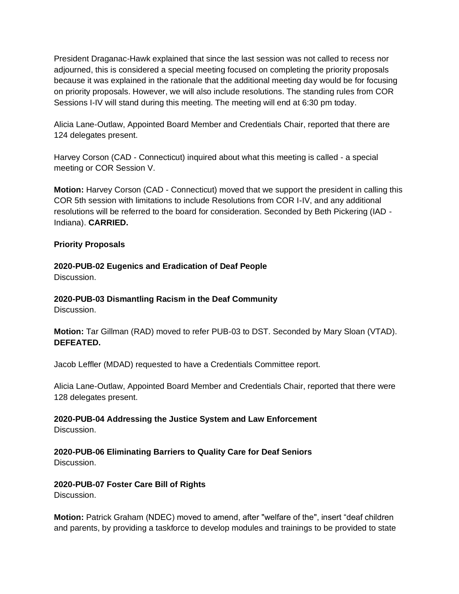President Draganac-Hawk explained that since the last session was not called to recess nor adjourned, this is considered a special meeting focused on completing the priority proposals because it was explained in the rationale that the additional meeting day would be for focusing on priority proposals. However, we will also include resolutions. The standing rules from COR Sessions I-IV will stand during this meeting. The meeting will end at 6:30 pm today.

Alicia Lane-Outlaw, Appointed Board Member and Credentials Chair, reported that there are 124 delegates present.

Harvey Corson (CAD - Connecticut) inquired about what this meeting is called - a special meeting or COR Session V.

**Motion:** Harvey Corson (CAD - Connecticut) moved that we support the president in calling this COR 5th session with limitations to include Resolutions from COR I-IV, and any additional resolutions will be referred to the board for consideration. Seconded by Beth Pickering (IAD - Indiana). **CARRIED.** 

# **Priority Proposals**

# **2020-PUB-02 Eugenics and Eradication of Deaf People**

Discussion.

# **2020-PUB-03 Dismantling Racism in the Deaf Community**

Discussion.

**Motion:** Tar Gillman (RAD) moved to refer PUB-03 to DST. Seconded by Mary Sloan (VTAD). **DEFEATED.** 

Jacob Leffler (MDAD) requested to have a Credentials Committee report.

Alicia Lane-Outlaw, Appointed Board Member and Credentials Chair, reported that there were 128 delegates present.

**2020-PUB-04 Addressing the Justice System and Law Enforcement** Discussion.

# **2020-PUB-06 Eliminating Barriers to Quality Care for Deaf Seniors**

Discussion.

# **2020-PUB-07 Foster Care Bill of Rights**

Discussion.

**Motion:** Patrick Graham (NDEC) moved to amend, after "welfare of the", insert "deaf children and parents, by providing a taskforce to develop modules and trainings to be provided to state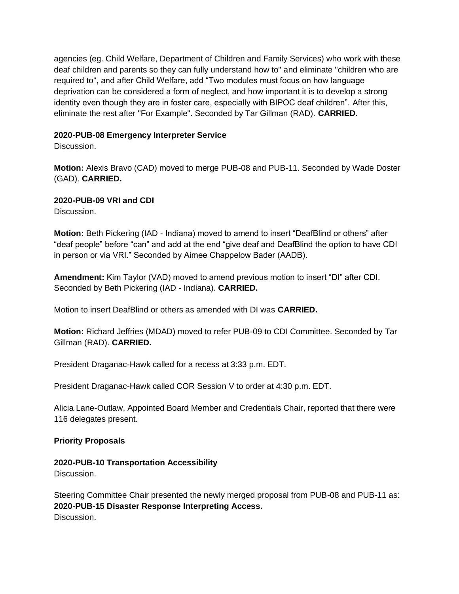agencies (eg. Child Welfare, Department of Children and Family Services) who work with these deaf children and parents so they can fully understand how to" and eliminate "children who are required to"**,** and after Child Welfare, add "Two modules must focus on how language deprivation can be considered a form of neglect, and how important it is to develop a strong identity even though they are in foster care, especially with BIPOC deaf children". After this, eliminate the rest after "For Example". Seconded by Tar Gillman (RAD). **CARRIED.** 

# **2020-PUB-08 Emergency Interpreter Service**

Discussion.

**Motion:** Alexis Bravo (CAD) moved to merge PUB-08 and PUB-11. Seconded by Wade Doster (GAD). **CARRIED.** 

**2020-PUB-09 VRI and CDI**

Discussion.

**Motion:** Beth Pickering (IAD - Indiana) moved to amend to insert "DeafBlind or others" after "deaf people" before "can" and add at the end "give deaf and DeafBlind the option to have CDI in person or via VRI." Seconded by Aimee Chappelow Bader (AADB).

**Amendment:** Kim Taylor (VAD) moved to amend previous motion to insert "DI" after CDI. Seconded by Beth Pickering (IAD - Indiana). **CARRIED.** 

Motion to insert DeafBlind or others as amended with DI was **CARRIED.** 

**Motion:** Richard Jeffries (MDAD) moved to refer PUB-09 to CDI Committee. Seconded by Tar Gillman (RAD). **CARRIED.** 

President Draganac-Hawk called for a recess at 3:33 p.m. EDT.

President Draganac-Hawk called COR Session V to order at 4:30 p.m. EDT.

Alicia Lane-Outlaw, Appointed Board Member and Credentials Chair, reported that there were 116 delegates present.

# **Priority Proposals**

**2020-PUB-10 Transportation Accessibility** Discussion.

Steering Committee Chair presented the newly merged proposal from PUB-08 and PUB-11 as: **2020-PUB-15 Disaster Response Interpreting Access.** Discussion.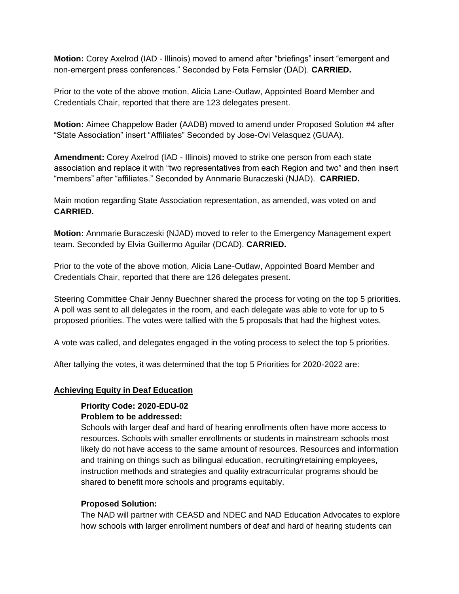**Motion:** Corey Axelrod (IAD - Illinois) moved to amend after "briefings" insert "emergent and non-emergent press conferences." Seconded by Feta Fernsler (DAD). **CARRIED.** 

Prior to the vote of the above motion, Alicia Lane-Outlaw, Appointed Board Member and Credentials Chair, reported that there are 123 delegates present.

**Motion:** Aimee Chappelow Bader (AADB) moved to amend under Proposed Solution #4 after "State Association" insert "Affiliates" Seconded by Jose-Ovi Velasquez (GUAA).

**Amendment:** Corey Axelrod (IAD - Illinois) moved to strike one person from each state association and replace it with "two representatives from each Region and two" and then insert "members" after "affiliates." Seconded by Annmarie Buraczeski (NJAD). **CARRIED.** 

Main motion regarding State Association representation, as amended, was voted on and **CARRIED.** 

**Motion:** Annmarie Buraczeski (NJAD) moved to refer to the Emergency Management expert team. Seconded by Elvia Guillermo Aguilar (DCAD). **CARRIED.** 

Prior to the vote of the above motion, Alicia Lane-Outlaw, Appointed Board Member and Credentials Chair, reported that there are 126 delegates present.

Steering Committee Chair Jenny Buechner shared the process for voting on the top 5 priorities. A poll was sent to all delegates in the room, and each delegate was able to vote for up to 5 proposed priorities. The votes were tallied with the 5 proposals that had the highest votes.

A vote was called, and delegates engaged in the voting process to select the top 5 priorities.

After tallying the votes, it was determined that the top 5 Priorities for 2020-2022 are:

#### **Achieving Equity in Deaf Education**

#### **Priority Code: 2020-EDU-02 Problem to be addressed:**

Schools with larger deaf and hard of hearing enrollments often have more access to resources. Schools with smaller enrollments or students in mainstream schools most likely do not have access to the same amount of resources. Resources and information and training on things such as bilingual education, recruiting/retaining employees, instruction methods and strategies and quality extracurricular programs should be shared to benefit more schools and programs equitably.

#### **Proposed Solution:**

The NAD will partner with CEASD and NDEC and NAD Education Advocates to explore how schools with larger enrollment numbers of deaf and hard of hearing students can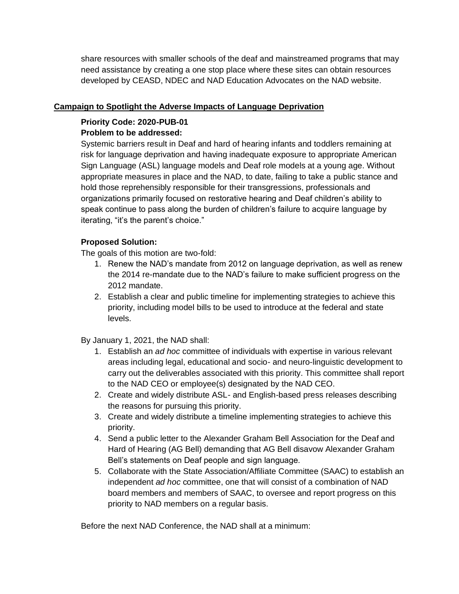share resources with smaller schools of the deaf and mainstreamed programs that may need assistance by creating a one stop place where these sites can obtain resources developed by CEASD, NDEC and NAD Education Advocates on the NAD website.

# **Campaign to Spotlight the Adverse Impacts of Language Deprivation**

# **Priority Code: 2020-PUB-01**

# **Problem to be addressed:**

Systemic barriers result in Deaf and hard of hearing infants and toddlers remaining at risk for language deprivation and having inadequate exposure to appropriate American Sign Language (ASL) language models and Deaf role models at a young age. Without appropriate measures in place and the NAD, to date, failing to take a public stance and hold those reprehensibly responsible for their transgressions, professionals and organizations primarily focused on restorative hearing and Deaf children's ability to speak continue to pass along the burden of children's failure to acquire language by iterating, "it's the parent's choice."

# **Proposed Solution:**

The goals of this motion are two-fold:

- 1. Renew the NAD's mandate from 2012 on language deprivation, as well as renew the 2014 re-mandate due to the NAD's failure to make sufficient progress on the 2012 mandate.
- 2. Establish a clear and public timeline for implementing strategies to achieve this priority, including model bills to be used to introduce at the federal and state levels.

By January 1, 2021, the NAD shall:

- 1. Establish an *ad hoc* committee of individuals with expertise in various relevant areas including legal, educational and socio- and neuro-linguistic development to carry out the deliverables associated with this priority. This committee shall report to the NAD CEO or employee(s) designated by the NAD CEO.
- 2. Create and widely distribute ASL- and English-based press releases describing the reasons for pursuing this priority.
- 3. Create and widely distribute a timeline implementing strategies to achieve this priority.
- 4. Send a public letter to the Alexander Graham Bell Association for the Deaf and Hard of Hearing (AG Bell) demanding that AG Bell disavow Alexander Graham Bell's statements on Deaf people and sign language.
- 5. Collaborate with the State Association/Affiliate Committee (SAAC) to establish an independent *ad hoc* committee, one that will consist of a combination of NAD board members and members of SAAC, to oversee and report progress on this priority to NAD members on a regular basis.

Before the next NAD Conference, the NAD shall at a minimum: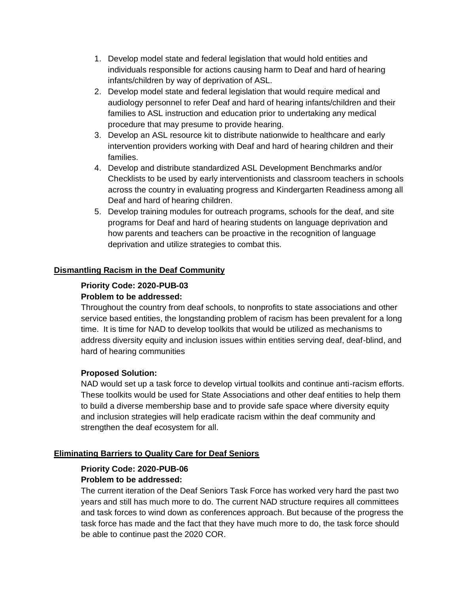- 1. Develop model state and federal legislation that would hold entities and individuals responsible for actions causing harm to Deaf and hard of hearing infants/children by way of deprivation of ASL.
- 2. Develop model state and federal legislation that would require medical and audiology personnel to refer Deaf and hard of hearing infants/children and their families to ASL instruction and education prior to undertaking any medical procedure that may presume to provide hearing.
- 3. Develop an ASL resource kit to distribute nationwide to healthcare and early intervention providers working with Deaf and hard of hearing children and their families.
- 4. Develop and distribute standardized ASL Development Benchmarks and/or Checklists to be used by early interventionists and classroom teachers in schools across the country in evaluating progress and Kindergarten Readiness among all Deaf and hard of hearing children.
- 5. Develop training modules for outreach programs, schools for the deaf, and site programs for Deaf and hard of hearing students on language deprivation and how parents and teachers can be proactive in the recognition of language deprivation and utilize strategies to combat this.

# **Dismantling Racism in the Deaf Community**

# **Priority Code: 2020-PUB-03 Problem to be addressed:**

Throughout the country from deaf schools, to nonprofits to state associations and other service based entities, the longstanding problem of racism has been prevalent for a long time. It is time for NAD to develop toolkits that would be utilized as mechanisms to address diversity equity and inclusion issues within entities serving deaf, deaf-blind, and hard of hearing communities

#### **Proposed Solution:**

NAD would set up a task force to develop virtual toolkits and continue anti-racism efforts. These toolkits would be used for State Associations and other deaf entities to help them to build a diverse membership base and to provide safe space where diversity equity and inclusion strategies will help eradicate racism within the deaf community and strengthen the deaf ecosystem for all.

#### **Eliminating Barriers to Quality Care for Deaf Seniors**

#### **Priority Code: 2020-PUB-06 Problem to be addressed:**

The current iteration of the Deaf Seniors Task Force has worked very hard the past two years and still has much more to do. The current NAD structure requires all committees and task forces to wind down as conferences approach. But because of the progress the task force has made and the fact that they have much more to do, the task force should be able to continue past the 2020 COR.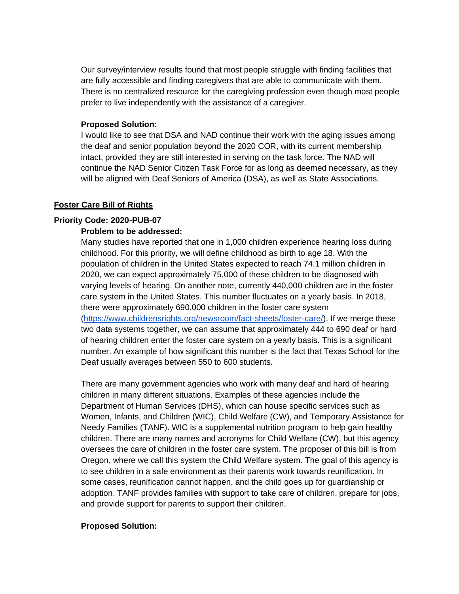Our survey/interview results found that most people struggle with finding facilities that are fully accessible and finding caregivers that are able to communicate with them. There is no centralized resource for the caregiving profession even though most people prefer to live independently with the assistance of a caregiver.

#### **Proposed Solution:**

I would like to see that DSA and NAD continue their work with the aging issues among the deaf and senior population beyond the 2020 COR, with its current membership intact, provided they are still interested in serving on the task force. The NAD will continue the NAD Senior Citizen Task Force for as long as deemed necessary, as they will be aligned with Deaf Seniors of America (DSA), as well as State Associations.

#### **Foster Care Bill of Rights**

#### **Priority Code: 2020-PUB-07**

#### **Problem to be addressed:**

Deaf usually averages between 550 to 600 students.

Many studies have reported that one in 1,000 children experience hearing loss during childhood. For this priority, we will define childhood as birth to age 18. With the population of children in the United States expected to reach 74.1 million children in 2020, we can expect approximately 75,000 of these children to be diagnosed with varying levels of hearing. On another note, currently 440,000 children are in the foster care system in the United States. This number fluctuates on a yearly basis. In 2018, there were approximately 690,000 children in the foster care system [\(https://www.childrensrights.org/newsroom/fact-sheets/foster-care/\)](https://www.childrensrights.org/newsroom/fact-sheets/foster-care/). If we merge these two data systems together, we can assume that approximately 444 to 690 deaf or hard of hearing children enter the foster care system on a yearly basis. This is a significant number. An example of how significant this number is the fact that Texas School for the

There are many government agencies who work with many deaf and hard of hearing children in many different situations. Examples of these agencies include the Department of Human Services (DHS), which can house specific services such as Women, Infants, and Children (WIC), Child Welfare (CW), and Temporary Assistance for Needy Families (TANF). WIC is a supplemental nutrition program to help gain healthy children. There are many names and acronyms for Child Welfare (CW), but this agency oversees the care of children in the foster care system. The proposer of this bill is from Oregon, where we call this system the Child Welfare system. The goal of this agency is to see children in a safe environment as their parents work towards reunification. In some cases, reunification cannot happen, and the child goes up for guardianship or adoption. TANF provides families with support to take care of children, prepare for jobs, and provide support for parents to support their children.

#### **Proposed Solution:**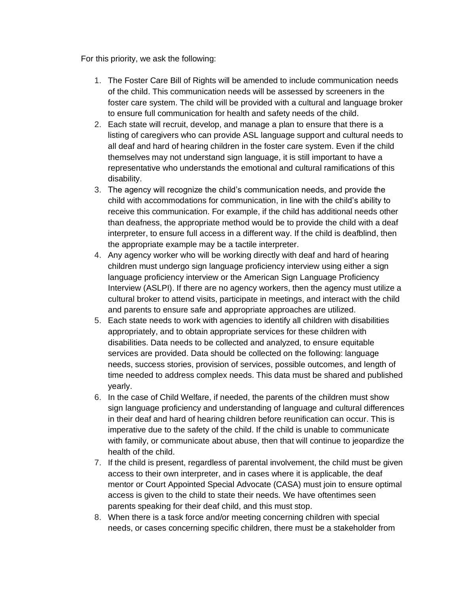For this priority, we ask the following:

- 1. The Foster Care Bill of Rights will be amended to include communication needs of the child. This communication needs will be assessed by screeners in the foster care system. The child will be provided with a cultural and language broker to ensure full communication for health and safety needs of the child.
- 2. Each state will recruit, develop, and manage a plan to ensure that there is a listing of caregivers who can provide ASL language support and cultural needs to all deaf and hard of hearing children in the foster care system. Even if the child themselves may not understand sign language, it is still important to have a representative who understands the emotional and cultural ramifications of this disability.
- 3. The agency will recognize the child's communication needs, and provide the child with accommodations for communication, in line with the child's ability to receive this communication. For example, if the child has additional needs other than deafness, the appropriate method would be to provide the child with a deaf interpreter, to ensure full access in a different way. If the child is deafblind, then the appropriate example may be a tactile interpreter.
- 4. Any agency worker who will be working directly with deaf and hard of hearing children must undergo sign language proficiency interview using either a sign language proficiency interview or the American Sign Language Proficiency Interview (ASLPI). If there are no agency workers, then the agency must utilize a cultural broker to attend visits, participate in meetings, and interact with the child and parents to ensure safe and appropriate approaches are utilized.
- 5. Each state needs to work with agencies to identify all children with disabilities appropriately, and to obtain appropriate services for these children with disabilities. Data needs to be collected and analyzed, to ensure equitable services are provided. Data should be collected on the following: language needs, success stories, provision of services, possible outcomes, and length of time needed to address complex needs. This data must be shared and published yearly.
- 6. In the case of Child Welfare, if needed, the parents of the children must show sign language proficiency and understanding of language and cultural differences in their deaf and hard of hearing children before reunification can occur. This is imperative due to the safety of the child. If the child is unable to communicate with family, or communicate about abuse, then that will continue to jeopardize the health of the child.
- 7. If the child is present, regardless of parental involvement, the child must be given access to their own interpreter, and in cases where it is applicable, the deaf mentor or Court Appointed Special Advocate (CASA) must join to ensure optimal access is given to the child to state their needs. We have oftentimes seen parents speaking for their deaf child, and this must stop.
- 8. When there is a task force and/or meeting concerning children with special needs, or cases concerning specific children, there must be a stakeholder from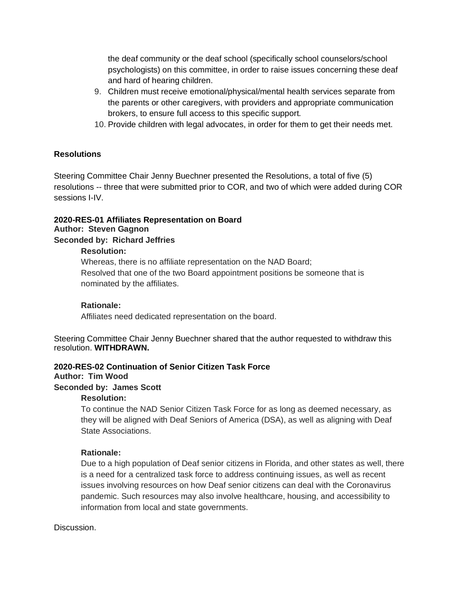the deaf community or the deaf school (specifically school counselors/school psychologists) on this committee, in order to raise issues concerning these deaf and hard of hearing children.

- 9. Children must receive emotional/physical/mental health services separate from the parents or other caregivers, with providers and appropriate communication brokers, to ensure full access to this specific support.
- 10. Provide children with legal advocates, in order for them to get their needs met.

# **Resolutions**

Steering Committee Chair Jenny Buechner presented the Resolutions, a total of five (5) resolutions -- three that were submitted prior to COR, and two of which were added during COR sessions I-IV.

#### **2020-RES-01 Affiliates Representation on Board Author: Steven Gagnon Seconded by: Richard Jeffries**

#### **Resolution:**

Whereas, there is no affiliate representation on the NAD Board; Resolved that one of the two Board appointment positions be someone that is nominated by the affiliates.

#### **Rationale:**

Affiliates need dedicated representation on the board.

Steering Committee Chair Jenny Buechner shared that the author requested to withdraw this resolution. **WITHDRAWN.**

#### **2020-RES-02 Continuation of Senior Citizen Task Force**

#### **Author: Tim Wood**

#### **Seconded by: James Scott**

#### **Resolution:**

To continue the NAD Senior Citizen Task Force for as long as deemed necessary, as they will be aligned with Deaf Seniors of America (DSA), as well as aligning with Deaf State Associations.

#### **Rationale:**

Due to a high population of Deaf senior citizens in Florida, and other states as well, there is a need for a centralized task force to address continuing issues, as well as recent issues involving resources on how Deaf senior citizens can deal with the Coronavirus pandemic. Such resources may also involve healthcare, housing, and accessibility to information from local and state governments.

#### Discussion.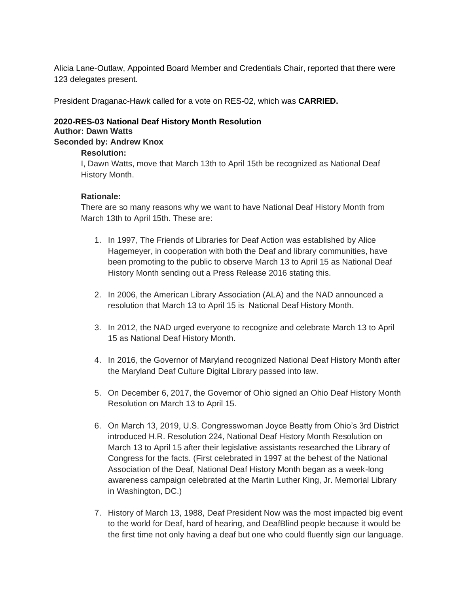Alicia Lane-Outlaw, Appointed Board Member and Credentials Chair, reported that there were 123 delegates present.

President Draganac-Hawk called for a vote on RES-02, which was **CARRIED.** 

### **2020-RES-03 National Deaf History Month Resolution Author: Dawn Watts**

# **Seconded by: Andrew Knox**

# **Resolution:**

I, Dawn Watts, move that March 13th to April 15th be recognized as National Deaf History Month.

# **Rationale:**

There are so many reasons why we want to have National Deaf History Month from March 13th to April 15th. These are:

- 1. In 1997, The Friends of Libraries for Deaf Action was established by Alice Hagemeyer, in cooperation with both the Deaf and library communities, have been promoting to the public to observe March 13 to April 15 as National Deaf History Month sending out a Press Release 2016 stating this.
- 2. In 2006, the American Library Association (ALA) and the NAD announced a resolution that March 13 to April 15 is National Deaf History Month.
- 3. In 2012, the NAD urged everyone to recognize and celebrate March 13 to April 15 as National Deaf History Month.
- 4. In 2016, the Governor of Maryland recognized National Deaf History Month after the Maryland Deaf Culture Digital Library passed into law.
- 5. On December 6, 2017, the Governor of Ohio signed an Ohio Deaf History Month Resolution on March 13 to April 15.
- 6. On March 13, 2019, U.S. Congresswoman Joyce Beatty from Ohio's 3rd District introduced H.R. Resolution 224, National Deaf History Month Resolution on March 13 to April 15 after their legislative assistants researched the Library of Congress for the facts. (First celebrated in 1997 at the behest of the National Association of the Deaf, National Deaf History Month began as a week-long awareness campaign celebrated at the Martin Luther King, Jr. Memorial Library in Washington, DC.)
- 7. History of March 13, 1988, Deaf President Now was the most impacted big event to the world for Deaf, hard of hearing, and DeafBlind people because it would be the first time not only having a deaf but one who could fluently sign our language.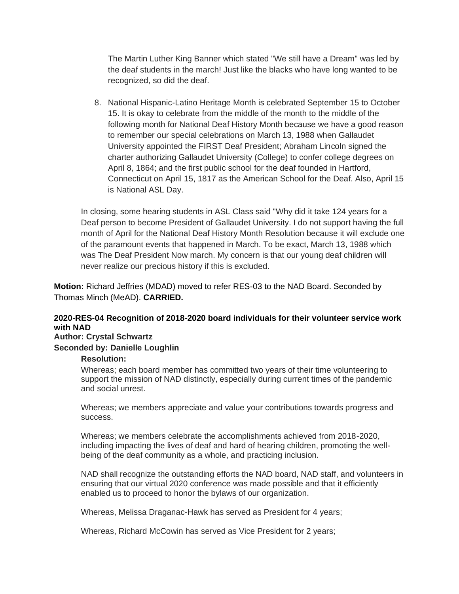The Martin Luther King Banner which stated "We still have a Dream" was led by the deaf students in the march! Just like the blacks who have long wanted to be recognized, so did the deaf.

8. National Hispanic-Latino Heritage Month is celebrated September 15 to October 15. It is okay to celebrate from the middle of the month to the middle of the following month for National Deaf History Month because we have a good reason to remember our special celebrations on March 13, 1988 when Gallaudet University appointed the FIRST Deaf President; Abraham Lincoln signed the charter authorizing Gallaudet University (College) to confer college degrees on April 8, 1864; and the first public school for the deaf founded in Hartford, Connecticut on April 15, 1817 as the American School for the Deaf. Also, April 15 is National ASL Day.

In closing, some hearing students in ASL Class said "Why did it take 124 years for a Deaf person to become President of Gallaudet University. I do not support having the full month of April for the National Deaf History Month Resolution because it will exclude one of the paramount events that happened in March. To be exact, March 13, 1988 which was The Deaf President Now march. My concern is that our young deaf children will never realize our precious history if this is excluded.

**Motion:** Richard Jeffries (MDAD) moved to refer RES-03 to the NAD Board. Seconded by Thomas Minch (MeAD). **CARRIED.**

# **2020-RES-04 Recognition of 2018-2020 board individuals for their volunteer service work with NAD**

# **Author: Crystal Schwartz**

#### **Seconded by: Danielle Loughlin**

#### **Resolution:**

Whereas; each board member has committed two years of their time volunteering to support the mission of NAD distinctly, especially during current times of the pandemic and social unrest.

Whereas; we members appreciate and value your contributions towards progress and success.

Whereas; we members celebrate the accomplishments achieved from 2018-2020, including impacting the lives of deaf and hard of hearing children, promoting the wellbeing of the deaf community as a whole, and practicing inclusion.

NAD shall recognize the outstanding efforts the NAD board, NAD staff, and volunteers in ensuring that our virtual 2020 conference was made possible and that it efficiently enabled us to proceed to honor the bylaws of our organization.

Whereas, Melissa Draganac-Hawk has served as President for 4 years;

Whereas, Richard McCowin has served as Vice President for 2 years;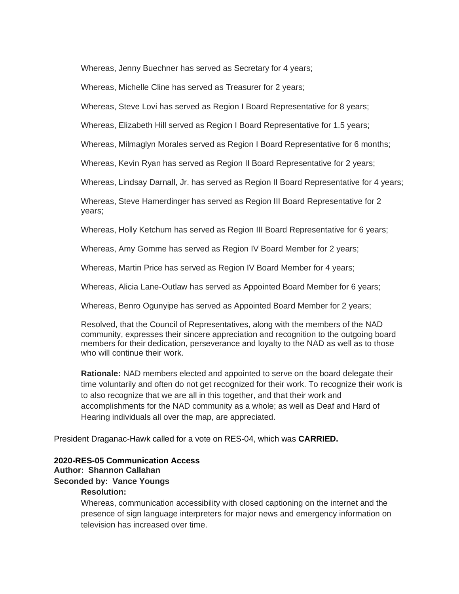Whereas, Jenny Buechner has served as Secretary for 4 years;

Whereas, Michelle Cline has served as Treasurer for 2 years;

Whereas, Steve Lovi has served as Region I Board Representative for 8 years;

Whereas, Elizabeth Hill served as Region I Board Representative for 1.5 years;

Whereas, Milmaglyn Morales served as Region I Board Representative for 6 months;

Whereas, Kevin Ryan has served as Region II Board Representative for 2 years;

Whereas, Lindsay Darnall, Jr. has served as Region II Board Representative for 4 years;

Whereas, Steve Hamerdinger has served as Region III Board Representative for 2 years;

Whereas, Holly Ketchum has served as Region III Board Representative for 6 years;

Whereas, Amy Gomme has served as Region IV Board Member for 2 years;

Whereas, Martin Price has served as Region IV Board Member for 4 years;

Whereas, Alicia Lane-Outlaw has served as Appointed Board Member for 6 years;

Whereas, Benro Ogunyipe has served as Appointed Board Member for 2 years;

Resolved, that the Council of Representatives, along with the members of the NAD community, expresses their sincere appreciation and recognition to the outgoing board members for their dedication, perseverance and loyalty to the NAD as well as to those who will continue their work.

**Rationale:** NAD members elected and appointed to serve on the board delegate their time voluntarily and often do not get recognized for their work. To recognize their work is to also recognize that we are all in this together, and that their work and accomplishments for the NAD community as a whole; as well as Deaf and Hard of Hearing individuals all over the map, are appreciated.

President Draganac-Hawk called for a vote on RES-04, which was **CARRIED.** 

#### **2020-RES-05 Communication Access**

# **Author: Shannon Callahan**

#### **Seconded by: Vance Youngs**

#### **Resolution:**

Whereas, communication accessibility with closed captioning on the internet and the presence of sign language interpreters for major news and emergency information on television has increased over time.